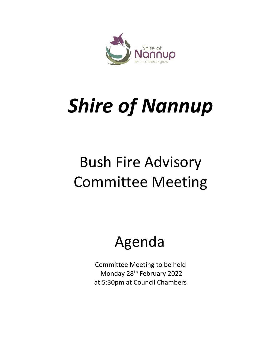

# *Shire of Nannup*

# Bush Fire Advisory Committee Meeting

## Agenda

Committee Meeting to be held Monday 28th February 2022 at 5:30pm at Council Chambers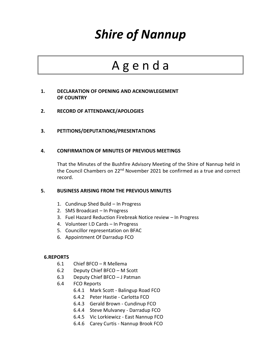### *Shire of Nannup*

### A g e n d a

#### **1. DECLARATION OF OPENING AND ACKNOWLEGEMENT OF COUNTRY**

- **2. RECORD OF ATTENDANCE/APOLOGIES**
- **3. PETITIONS/DEPUTATIONS/PRESENTATIONS**

#### **4. CONFIRMATION OF MINUTES OF PREVIOUS MEETINGS**

That the Minutes of the Bushfire Advisory Meeting of the Shire of Nannup held in the Council Chambers on 22<sup>nd</sup> November 2021 be confirmed as a true and correct record.

#### **5. BUSINESS ARISING FROM THE PREVIOUS MINUTES**

- 1. Cundinup Shed Build In Progress
- 2. SMS Broadcast In Progress
- 3. Fuel Hazard Reduction Firebreak Notice review In Progress
- 4. Volunteer I.D Cards In Progress
- 5. Councillor representation on BFAC
- 6. Appointment Of Darradup FCO

#### **6.REPORTS**

- 6.1 Chief BFCO R Mellema
- 6.2 Deputy Chief BFCO M Scott
- 6.3 Deputy Chief BFCO J Patman
- 6.4 FCO Reports
	- 6.4.1 Mark Scott Balingup Road FCO
	- 6.4.2 Peter Hastie Carlotta FCO
	- 6.4.3 Gerald Brown Cundinup FCO
	- 6.4.4 Steve Mulvaney Darradup FCO
	- 6.4.5 Vic Lorkiewicz East Nannup FCO
	- 6.4.6 Carey Curtis Nannup Brook FCO